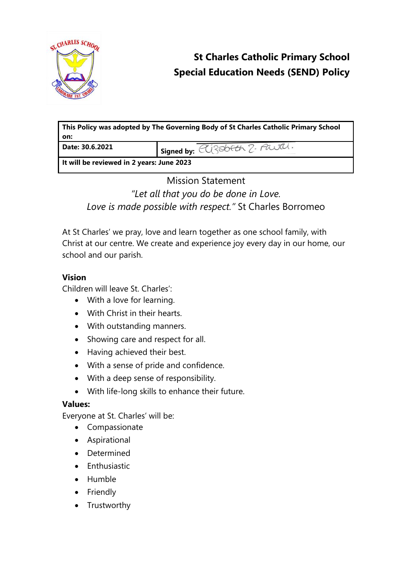

# **St Charles Catholic Primary School Special Education Needs (SEND) Policy**

| This Policy was adopted by The Governing Body of St Charles Catholic Primary School |                                 |
|-------------------------------------------------------------------------------------|---------------------------------|
| on:                                                                                 |                                 |
| Date: 30.6.2021                                                                     | I signed by: Elizabeth 2. Paul. |
| It will be reviewed in 2 years: June 2023                                           |                                 |

Mission Statement *"Let all that you do be done in Love. Love is made possible with respect."* St Charles Borromeo

At St Charles' we pray, love and learn together as one school family, with Christ at our centre. We create and experience joy every day in our home, our school and our parish.

# **Vision**

Children will leave St. Charles':

- With a love for learning.
- With Christ in their hearts.
- With outstanding manners.
- Showing care and respect for all.
- Having achieved their best.
- With a sense of pride and confidence.
- With a deep sense of responsibility.
- With life-long skills to enhance their future.

# **Values:**

Everyone at St. Charles' will be:

- Compassionate
- Aspirational
- Determined
- Enthusiastic
- Humble
- Friendly
- Trustworthy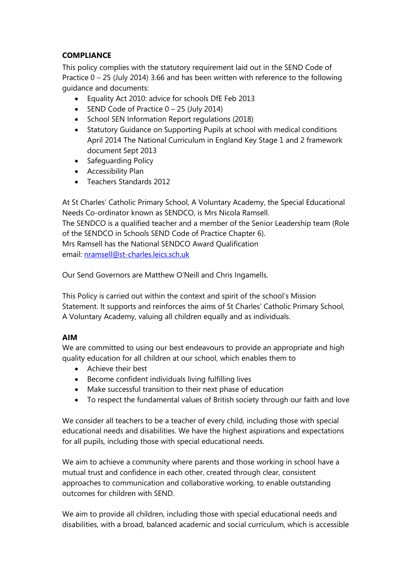# **COMPLIANCE**

This policy complies with the statutory requirement laid out in the SEND Code of Practice 0 – 25 (July 2014) 3.66 and has been written with reference to the following guidance and documents:

- Equality Act 2010: advice for schools DfE Feb 2013
- SEND Code of Practice  $0 25$  (July 2014)
- School SEN Information Report regulations (2018)
- Statutory Guidance on Supporting Pupils at school with medical conditions April 2014 The National Curriculum in England Key Stage 1 and 2 framework document Sept 2013
- Safeguarding Policy
- Accessibility Plan
- Teachers Standards 2012

At St Charles' Catholic Primary School, A Voluntary Academy, the Special Educational Needs Co-ordinator known as SENDCO, is Mrs Nicola Ramsell. The SENDCO is a qualified teacher and a member of the Senior Leadership team (Role of the SENDCO in Schools SEND Code of Practice Chapter 6). Mrs Ramsell has the National SENDCO Award Qualification email: [nramsell@st-charles.leics.sch.uk](mailto:nramsell@st-charles.leics.sch.uk)

Our Send Governors are Matthew O'Neill and Chris Ingamells.

This Policy is carried out within the context and spirit of the school's Mission Statement. It supports and reinforces the aims of St Charles' Catholic Primary School, A Voluntary Academy, valuing all children equally and as individuals.

## **AIM**

We are committed to using our best endeavours to provide an appropriate and high quality education for all children at our school, which enables them to

- Achieve their best
- Become confident individuals living fulfilling lives
- Make successful transition to their next phase of education
- To respect the fundamental values of British society through our faith and love

We consider all teachers to be a teacher of every child, including those with special educational needs and disabilities. We have the highest aspirations and expectations for all pupils, including those with special educational needs.

We aim to achieve a community where parents and those working in school have a mutual trust and confidence in each other, created through clear, consistent approaches to communication and collaborative working, to enable outstanding outcomes for children with SEND.

We aim to provide all children, including those with special educational needs and disabilities, with a broad, balanced academic and social curriculum, which is accessible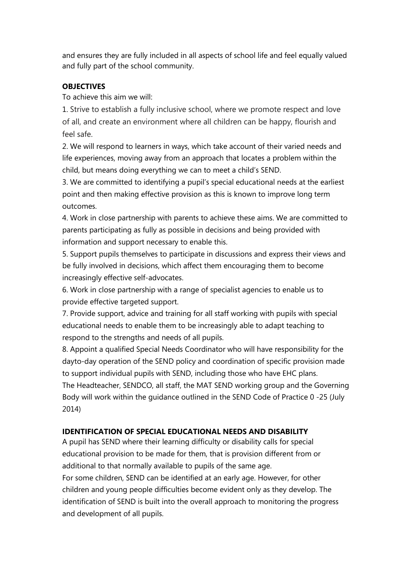and ensures they are fully included in all aspects of school life and feel equally valued and fully part of the school community.

## **OBJECTIVES**

To achieve this aim we will:

1. Strive to establish a fully inclusive school, where we promote respect and love of all, and create an environment where all children can be happy, flourish and feel safe.

2. We will respond to learners in ways, which take account of their varied needs and life experiences, moving away from an approach that locates a problem within the child, but means doing everything we can to meet a child's SEND.

3. We are committed to identifying a pupil's special educational needs at the earliest point and then making effective provision as this is known to improve long term outcomes.

4. Work in close partnership with parents to achieve these aims. We are committed to parents participating as fully as possible in decisions and being provided with information and support necessary to enable this.

5. Support pupils themselves to participate in discussions and express their views and be fully involved in decisions, which affect them encouraging them to become increasingly effective self-advocates.

6. Work in close partnership with a range of specialist agencies to enable us to provide effective targeted support.

7. Provide support, advice and training for all staff working with pupils with special educational needs to enable them to be increasingly able to adapt teaching to respond to the strengths and needs of all pupils.

8. Appoint a qualified Special Needs Coordinator who will have responsibility for the dayto-day operation of the SEND policy and coordination of specific provision made to support individual pupils with SEND, including those who have EHC plans. The Headteacher, SENDCO, all staff, the MAT SEND working group and the Governing Body will work within the guidance outlined in the SEND Code of Practice 0 -25 (July 2014)

## **IDENTIFICATION OF SPECIAL EDUCATIONAL NEEDS AND DISABILITY**

A pupil has SEND where their learning difficulty or disability calls for special educational provision to be made for them, that is provision different from or additional to that normally available to pupils of the same age.

For some children, SEND can be identified at an early age. However, for other children and young people difficulties become evident only as they develop. The identification of SEND is built into the overall approach to monitoring the progress and development of all pupils.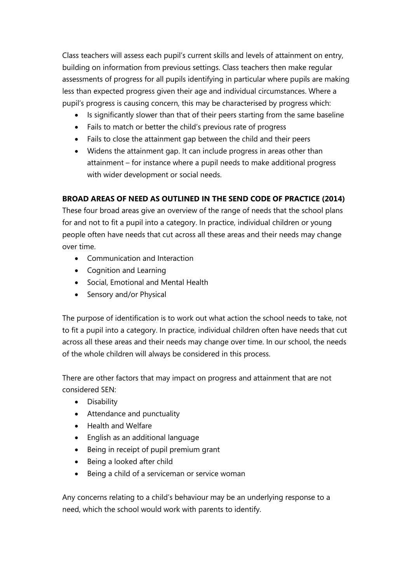Class teachers will assess each pupil's current skills and levels of attainment on entry, building on information from previous settings. Class teachers then make regular assessments of progress for all pupils identifying in particular where pupils are making less than expected progress given their age and individual circumstances. Where a pupil's progress is causing concern, this may be characterised by progress which:

- Is significantly slower than that of their peers starting from the same baseline
- Fails to match or better the child's previous rate of progress
- Fails to close the attainment gap between the child and their peers
- Widens the attainment gap. It can include progress in areas other than attainment – for instance where a pupil needs to make additional progress with wider development or social needs.

## **BROAD AREAS OF NEED AS OUTLINED IN THE SEND CODE OF PRACTICE (2014)**

These four broad areas give an overview of the range of needs that the school plans for and not to fit a pupil into a category. In practice, individual children or young people often have needs that cut across all these areas and their needs may change over time.

- Communication and Interaction
- Cognition and Learning
- Social, Emotional and Mental Health
- Sensory and/or Physical

The purpose of identification is to work out what action the school needs to take, not to fit a pupil into a category. In practice, individual children often have needs that cut across all these areas and their needs may change over time. In our school, the needs of the whole children will always be considered in this process.

There are other factors that may impact on progress and attainment that are not considered SEN:

- Disability
- Attendance and punctuality
- Health and Welfare
- English as an additional language
- Being in receipt of pupil premium grant
- Being a looked after child
- Being a child of a serviceman or service woman

Any concerns relating to a child's behaviour may be an underlying response to a need, which the school would work with parents to identify.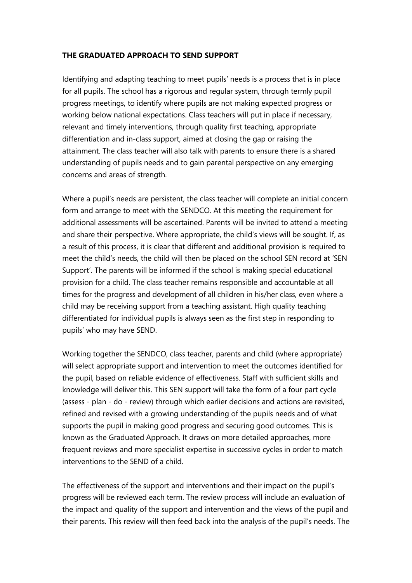#### **THE GRADUATED APPROACH TO SEND SUPPORT**

Identifying and adapting teaching to meet pupils' needs is a process that is in place for all pupils. The school has a rigorous and regular system, through termly pupil progress meetings, to identify where pupils are not making expected progress or working below national expectations. Class teachers will put in place if necessary, relevant and timely interventions, through quality first teaching, appropriate differentiation and in-class support, aimed at closing the gap or raising the attainment. The class teacher will also talk with parents to ensure there is a shared understanding of pupils needs and to gain parental perspective on any emerging concerns and areas of strength.

Where a pupil's needs are persistent, the class teacher will complete an initial concern form and arrange to meet with the SENDCO. At this meeting the requirement for additional assessments will be ascertained. Parents will be invited to attend a meeting and share their perspective. Where appropriate, the child's views will be sought. If, as a result of this process, it is clear that different and additional provision is required to meet the child's needs, the child will then be placed on the school SEN record at 'SEN Support'. The parents will be informed if the school is making special educational provision for a child. The class teacher remains responsible and accountable at all times for the progress and development of all children in his/her class, even where a child may be receiving support from a teaching assistant. High quality teaching differentiated for individual pupils is always seen as the first step in responding to pupils' who may have SEND.

Working together the SENDCO, class teacher, parents and child (where appropriate) will select appropriate support and intervention to meet the outcomes identified for the pupil, based on reliable evidence of effectiveness. Staff with sufficient skills and knowledge will deliver this. This SEN support will take the form of a four part cycle (assess - plan - do - review) through which earlier decisions and actions are revisited, refined and revised with a growing understanding of the pupils needs and of what supports the pupil in making good progress and securing good outcomes. This is known as the Graduated Approach. It draws on more detailed approaches, more frequent reviews and more specialist expertise in successive cycles in order to match interventions to the SEND of a child.

The effectiveness of the support and interventions and their impact on the pupil's progress will be reviewed each term. The review process will include an evaluation of the impact and quality of the support and intervention and the views of the pupil and their parents. This review will then feed back into the analysis of the pupil's needs. The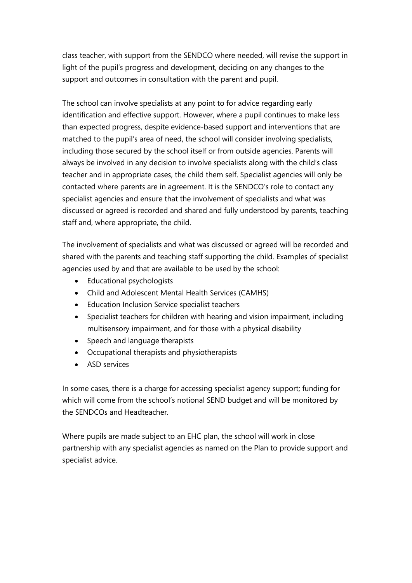class teacher, with support from the SENDCO where needed, will revise the support in light of the pupil's progress and development, deciding on any changes to the support and outcomes in consultation with the parent and pupil.

The school can involve specialists at any point to for advice regarding early identification and effective support. However, where a pupil continues to make less than expected progress, despite evidence-based support and interventions that are matched to the pupil's area of need, the school will consider involving specialists, including those secured by the school itself or from outside agencies. Parents will always be involved in any decision to involve specialists along with the child's class teacher and in appropriate cases, the child them self. Specialist agencies will only be contacted where parents are in agreement. It is the SENDCO's role to contact any specialist agencies and ensure that the involvement of specialists and what was discussed or agreed is recorded and shared and fully understood by parents, teaching staff and, where appropriate, the child.

The involvement of specialists and what was discussed or agreed will be recorded and shared with the parents and teaching staff supporting the child. Examples of specialist agencies used by and that are available to be used by the school:

- Educational psychologists
- Child and Adolescent Mental Health Services (CAMHS)
- Education Inclusion Service specialist teachers
- Specialist teachers for children with hearing and vision impairment, including multisensory impairment, and for those with a physical disability
- Speech and language therapists
- Occupational therapists and physiotherapists
- ASD services

In some cases, there is a charge for accessing specialist agency support; funding for which will come from the school's notional SEND budget and will be monitored by the SENDCOs and Headteacher.

Where pupils are made subject to an EHC plan, the school will work in close partnership with any specialist agencies as named on the Plan to provide support and specialist advice.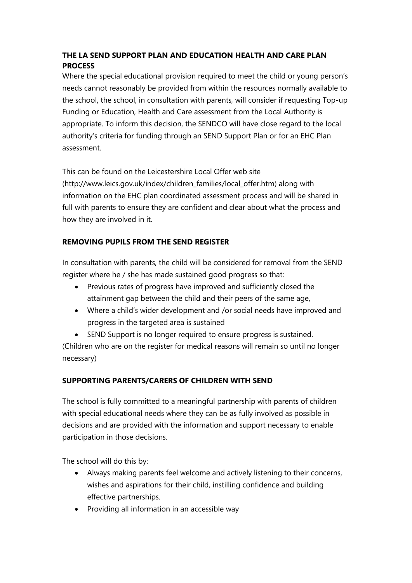# **THE LA SEND SUPPORT PLAN AND EDUCATION HEALTH AND CARE PLAN PROCESS**

Where the special educational provision required to meet the child or young person's needs cannot reasonably be provided from within the resources normally available to the school, the school, in consultation with parents, will consider if requesting Top-up Funding or Education, Health and Care assessment from the Local Authority is appropriate. To inform this decision, the SENDCO will have close regard to the local authority's criteria for funding through an SEND Support Plan or for an EHC Plan assessment.

This can be found on the Leicestershire Local Offer web site

(http://www.leics.gov.uk/index/children\_families/local\_offer.htm) along with information on the EHC plan coordinated assessment process and will be shared in full with parents to ensure they are confident and clear about what the process and how they are involved in it.

# **REMOVING PUPILS FROM THE SEND REGISTER**

In consultation with parents, the child will be considered for removal from the SEND register where he / she has made sustained good progress so that:

- Previous rates of progress have improved and sufficiently closed the attainment gap between the child and their peers of the same age,
- Where a child's wider development and /or social needs have improved and progress in the targeted area is sustained
- SEND Support is no longer required to ensure progress is sustained.

(Children who are on the register for medical reasons will remain so until no longer necessary)

## **SUPPORTING PARENTS/CARERS OF CHILDREN WITH SEND**

The school is fully committed to a meaningful partnership with parents of children with special educational needs where they can be as fully involved as possible in decisions and are provided with the information and support necessary to enable participation in those decisions.

The school will do this by:

- Always making parents feel welcome and actively listening to their concerns, wishes and aspirations for their child, instilling confidence and building effective partnerships.
- Providing all information in an accessible way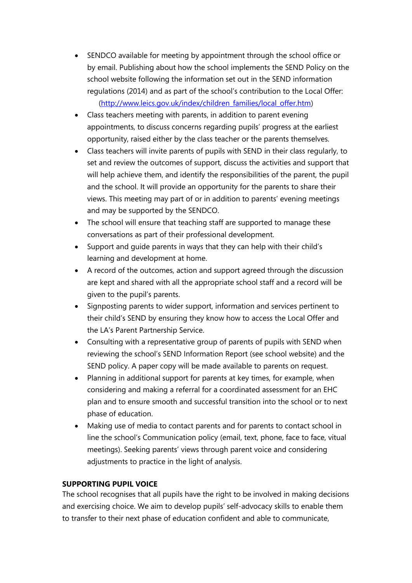- SENDCO available for meeting by appointment through the school office or by email. Publishing about how the school implements the SEND Policy on the school website following the information set out in the SEND information regulations (2014) and as part of the school's contribution to the Local Offer: [\(http://www.leics.gov.uk/index/children\\_families/local\\_offer.htm\)](http://www.leics.gov.uk/index/children_families/local_offer.htm)
- Class teachers meeting with parents, in addition to parent evening appointments, to discuss concerns regarding pupils' progress at the earliest opportunity, raised either by the class teacher or the parents themselves.
- Class teachers will invite parents of pupils with SEND in their class regularly, to set and review the outcomes of support, discuss the activities and support that will help achieve them, and identify the responsibilities of the parent, the pupil and the school. It will provide an opportunity for the parents to share their views. This meeting may part of or in addition to parents' evening meetings and may be supported by the SENDCO.
- The school will ensure that teaching staff are supported to manage these conversations as part of their professional development.
- Support and guide parents in ways that they can help with their child's learning and development at home.
- A record of the outcomes, action and support agreed through the discussion are kept and shared with all the appropriate school staff and a record will be given to the pupil's parents.
- Signposting parents to wider support, information and services pertinent to their child's SEND by ensuring they know how to access the Local Offer and the LA's Parent Partnership Service.
- Consulting with a representative group of parents of pupils with SEND when reviewing the school's SEND Information Report (see school website) and the SEND policy. A paper copy will be made available to parents on request.
- Planning in additional support for parents at key times, for example, when considering and making a referral for a coordinated assessment for an EHC plan and to ensure smooth and successful transition into the school or to next phase of education.
- Making use of media to contact parents and for parents to contact school in line the school's Communication policy (email, text, phone, face to face, vitual meetings). Seeking parents' views through parent voice and considering adjustments to practice in the light of analysis.

## **SUPPORTING PUPIL VOICE**

The school recognises that all pupils have the right to be involved in making decisions and exercising choice. We aim to develop pupils' self-advocacy skills to enable them to transfer to their next phase of education confident and able to communicate,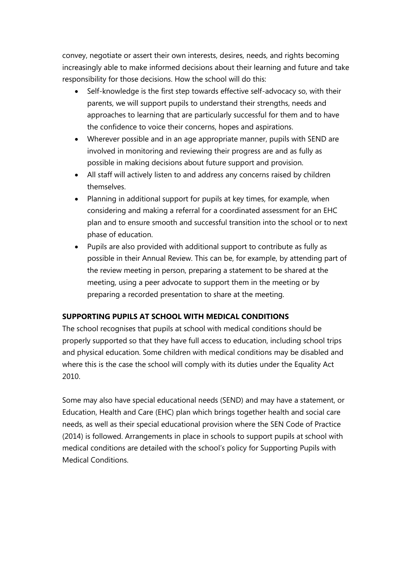convey, negotiate or assert their own interests, desires, needs, and rights becoming increasingly able to make informed decisions about their learning and future and take responsibility for those decisions. How the school will do this:

- Self-knowledge is the first step towards effective self-advocacy so, with their parents, we will support pupils to understand their strengths, needs and approaches to learning that are particularly successful for them and to have the confidence to voice their concerns, hopes and aspirations.
- Wherever possible and in an age appropriate manner, pupils with SEND are involved in monitoring and reviewing their progress are and as fully as possible in making decisions about future support and provision.
- All staff will actively listen to and address any concerns raised by children themselves.
- Planning in additional support for pupils at key times, for example, when considering and making a referral for a coordinated assessment for an EHC plan and to ensure smooth and successful transition into the school or to next phase of education.
- Pupils are also provided with additional support to contribute as fully as possible in their Annual Review. This can be, for example, by attending part of the review meeting in person, preparing a statement to be shared at the meeting, using a peer advocate to support them in the meeting or by preparing a recorded presentation to share at the meeting.

## **SUPPORTING PUPILS AT SCHOOL WITH MEDICAL CONDITIONS**

The school recognises that pupils at school with medical conditions should be properly supported so that they have full access to education, including school trips and physical education. Some children with medical conditions may be disabled and where this is the case the school will comply with its duties under the Equality Act 2010.

Some may also have special educational needs (SEND) and may have a statement, or Education, Health and Care (EHC) plan which brings together health and social care needs, as well as their special educational provision where the SEN Code of Practice (2014) is followed. Arrangements in place in schools to support pupils at school with medical conditions are detailed with the school's policy for Supporting Pupils with Medical Conditions.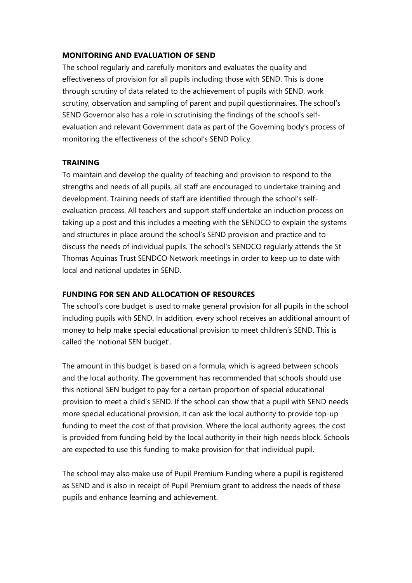#### **MONITORING AND EVALUATION OF SEND**

The school regularly and carefully monitors and evaluates the quality and effectiveness of provision for all pupils including those with SEND. This is done through scrutiny of data related to the achievement of pupils with SEND, work scrutiny, observation and sampling of parent and pupil questionnaires. The school's SEND Governor also has a role in scrutinising the findings of the school's selfevaluation and relevant Government data as part of the Governing body's process of monitoring the effectiveness of the school's SEND Policy.

#### **TRAINING**

To maintain and develop the quality of teaching and provision to respond to the strengths and needs of all pupils, all staff are encouraged to undertake training and development. Training needs of staff are identified through the school's selfevaluation process. All teachers and support staff undertake an induction process on taking up a post and this includes a meeting with the SENDCO to explain the systems and structures in place around the school's SEND provision and practice and to discuss the needs of individual pupils. The school's SENDCO regularly attends the St Thomas Aquinas Trust SENDCO Network meetings in order to keep up to date with local and national updates in SEND.

### **FUNDING FOR SEN AND ALLOCATION OF RESOURCES**

The school's core budget is used to make general provision for all pupils in the school including pupils with SEND. In addition, every school receives an additional amount of money to help make special educational provision to meet children's SEND. This is called the 'notional SEN budget'.

The amount in this budget is based on a formula, which is agreed between schools and the local authority. The government has recommended that schools should use this notional SEN budget to pay for a certain proportion of special educational provision to meet a child's SEND. If the school can show that a pupil with SEND needs more special educational provision, it can ask the local authority to provide top-up funding to meet the cost of that provision. Where the local authority agrees, the cost is provided from funding held by the local authority in their high needs block. Schools are expected to use this funding to make provision for that individual pupil.

The school may also make use of Pupil Premium Funding where a pupil is registered as SEND and is also in receipt of Pupil Premium grant to address the needs of these pupils and enhance learning and achievement.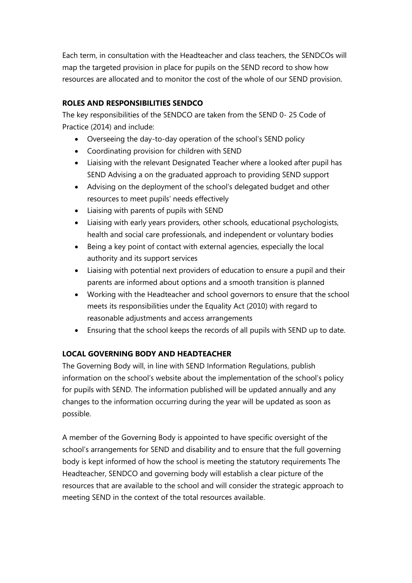Each term, in consultation with the Headteacher and class teachers, the SENDCOs will map the targeted provision in place for pupils on the SEND record to show how resources are allocated and to monitor the cost of the whole of our SEND provision.

## **ROLES AND RESPONSIBILITIES SENDCO**

The key responsibilities of the SENDCO are taken from the SEND 0- 25 Code of Practice (2014) and include:

- Overseeing the day-to-day operation of the school's SEND policy
- Coordinating provision for children with SEND
- Liaising with the relevant Designated Teacher where a looked after pupil has SEND Advising a on the graduated approach to providing SEND support
- Advising on the deployment of the school's delegated budget and other resources to meet pupils' needs effectively
- Liaising with parents of pupils with SEND
- Liaising with early years providers, other schools, educational psychologists, health and social care professionals, and independent or voluntary bodies
- Being a key point of contact with external agencies, especially the local authority and its support services
- Liaising with potential next providers of education to ensure a pupil and their parents are informed about options and a smooth transition is planned
- Working with the Headteacher and school governors to ensure that the school meets its responsibilities under the Equality Act (2010) with regard to reasonable adjustments and access arrangements
- Ensuring that the school keeps the records of all pupils with SEND up to date.

## **LOCAL GOVERNING BODY AND HEADTEACHER**

The Governing Body will, in line with SEND Information Regulations, publish information on the school's website about the implementation of the school's policy for pupils with SEND. The information published will be updated annually and any changes to the information occurring during the year will be updated as soon as possible.

A member of the Governing Body is appointed to have specific oversight of the school's arrangements for SEND and disability and to ensure that the full governing body is kept informed of how the school is meeting the statutory requirements The Headteacher, SENDCO and governing body will establish a clear picture of the resources that are available to the school and will consider the strategic approach to meeting SEND in the context of the total resources available.